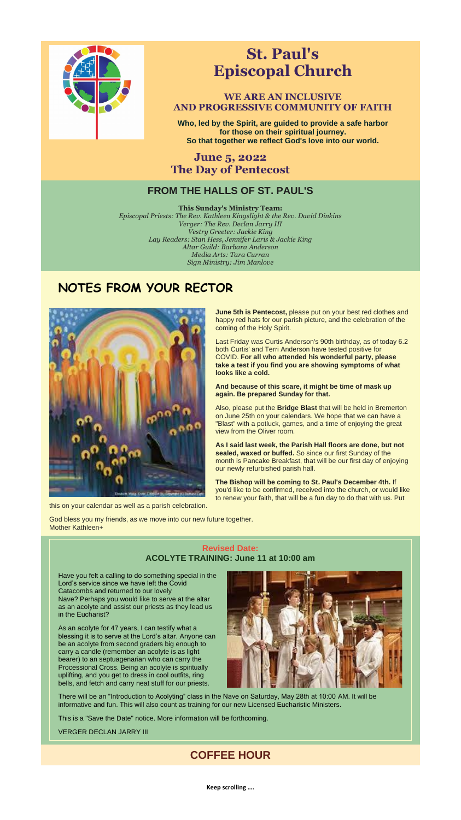**Keep scrolling ….**



# **St. Paul's Episcopal Church**

## **WE ARE AN INCLUSIVE AND PROGRESSIVE COMMUNITY OF FAITH**

**Who, led by the Spirit, are guided to provide a safe harbor for those on their spiritual journey. So that together we reflect God's love into our world.**

**June 5, 2022 The Day of Pentecost**

## **FROM THE HALLS OF ST. PAUL'S**

**This Sunday's Ministry Team:** *Episcopal Priests: The Rev. Kathleen Kingslight & the Rev. David Dinkins Verger: The Rev. Declan Jarry III Vestry Greeter: Jackie King Lay Readers: Stan Hess, Jennifer Laris & Jackie King Altar Guild: Barbara Anderson Media Arts: Tara Curran Sign Ministry: Jim Manlove*

# **NOTES FROM YOUR RECTOR**



**June 5th is Pentecost,** please put on your best red clothes and happy red hats for our parish picture, and the celebration of the coming of the Holy Spirit.

Last Friday was Curtis Anderson's 90th birthday, as of today 6.2 both Curtis' and Terri Anderson have tested positive for COVID. **For all who attended his wonderful party, please take a test if you find you are showing symptoms of what looks like a cold.**

**And because of this scare, it might be time of mask up again. Be prepared Sunday for that.**

Also, please put the **Bridge Blast** that will be held in Bremerton on June 25th on your calendars. We hope that we can have a "Blast" with a potluck, games, and a time of enjoying the great view from the Oliver room.

**As I said last week, the Parish Hall floors are done, but not sealed, waxed or buffed.** So since our first Sunday of the month is Pancake Breakfast, that will be our first day of enjoying our newly refurbished parish hall.

**The Bishop will be coming to St. Paul's December 4th.** If you'd like to be confirmed, received into the church, or would like to renew your faith, that will be a fun day to do that with us. Put

this on your calendar as well as a parish celebration.

God bless you my friends, as we move into our new future together. Mother Kathleen+

#### **Revised Date: ACOLYTE TRAINING: June 11 at 10:00 am**

Have you felt a calling to do something special in the Lord's service since we have left the Covid Catacombs and returned to our lovely Nave? Perhaps you would like to serve at the altar as an acolyte and assist our priests as they lead us in the Eucharist?

As an acolyte for 47 years, I can testify what a blessing it is to serve at the Lord's altar. Anyone can be an acolyte from second graders big enough to carry a candle (remember an acolyte is as light bearer) to an septuagenarian who can carry the Processional Cross. Being an acolyte is spiritually uplifting, and you get to dress in cool outfits, ring bells, and fetch and carry neat stuff for our priests.



There will be an "Introduction to Acolyting" class in the Nave on Saturday, May 28th at 10:00 AM. It will be informative and fun. This will also count as training for our new Licensed Eucharistic Ministers.

This is a "Save the Date" notice. More information will be forthcoming.

VERGER DECLAN JARRY III

## **COFFEE HOUR**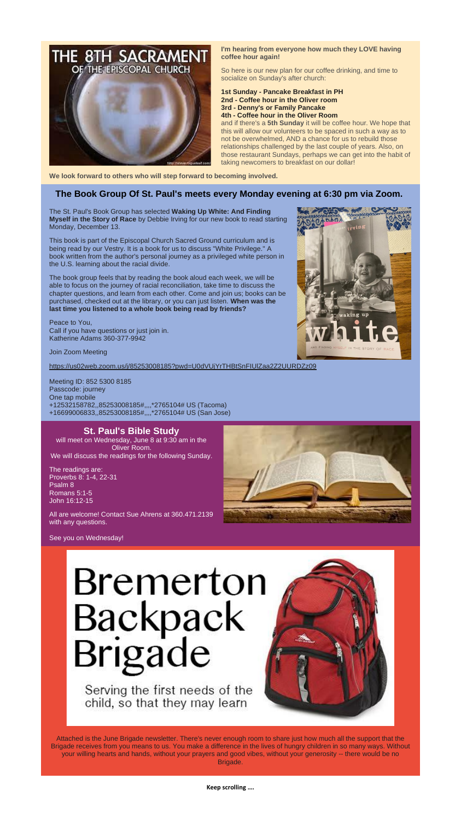**Keep scrolling ….**



#### **I'm hearing from everyone how much they LOVE having coffee hour again!**

So here is our new plan for our coffee drinking, and time to socialize on Sunday's after church:

#### **1st Sunday - Pancake Breakfast in PH 2nd - Coffee hour in the Oliver room 3rd - Denny's or Family Pancake 4th - Coffee hour in the Oliver Room**

and if there's a **5th Sunday** it will be coffee hour. We hope that this will allow our volunteers to be spaced in such a way as to not be overwhelmed, AND a chance for us to rebuild those relationships challenged by the last couple of years. Also, on those restaurant Sundays, perhaps we can get into the habit of taking newcomers to breakfast on our dollar!

**We look forward to others who will step forward to becoming involved.**

### **The Book Group Of St. Paul's meets every Monday evening at 6:30 pm via Zoom.**

The St. Paul's Book Group has selected **Waking Up White: And Finding Myself in the Story of Race** by Debbie Irving for our new book to read starting Monday, December 13.

will meet on Wednesday, June 8 at 9:30 am in the Oliver Room. We will discuss the readings for the following Sunday.

This book is part of the Episcopal Church Sacred Ground curriculum and is being read by our Vestry. It is a book for us to discuss "White Privilege." A book written from the author's personal journey as a privileged white person in the U.S. learning about the racial divide.

The book group feels that by reading the book aloud each week, we will be able to focus on the journey of racial reconciliation, take time to discuss the chapter questions, and learn from each other. Come and join us; books can be purchased, checked out at the library, or you can just listen. **When was the last time you listened to a whole book being read by friends?**

#### Peace to You, Call if you have questions or just join in. Katherine Adams 360-377-9942

Join Zoom Meeting

[https://us02web.zoom.us/j/85253008185?pwd=U0dVUjYrTHBtSnFIUlZaa2Z2UURDZz09](https://r20.rs6.net/tn.jsp?f=001smPzftrDGqcFRwaa3NJ8_3k9u2w3tubMRFVwYnM3vX0lTt90D1hyGDMbKUJMpPminrIIA9TX5u7W22w1_dPhhygQmFSsqAK4glJp14TsdLziTjWnuJHYmGVkVakuUKObIA0m_Af7K2qX6aaHH_oSx2NFVVt1oB8shVNdqI0lvm4P0Q5oQz__DDy-7nbvWjhdmmMVCs1H48XeSOo4J-1-tXOc2m24IfNU&c=Sz6pXFn8J9b-FcadEvElUioJ7YKByX6LkgUX8vIvaynQKKWnWSo_5g==&ch=O0Liy_TZjI0pcEB5f8NNIQC8AwgqnJfQ7KROS-Cl7LqLsJCoXvwMsQ==)



Meeting ID: 852 5300 8185 Passcode: journey One tap mobile +12532158782,,85253008185#,,,,\*2765104# US (Tacoma) +16699006833,,85253008185#,,,,\*2765104# US (San Jose)

### **St. Paul's Bible Study**

The readings are: Proverbs 8: 1-4, 22-31 Psalm 8 Romans 5:1-5 John 16:12-15



All are welcome! Contact Sue Ahrens at 360.471.2139 with any questions.

See you on Wednesday!

# Bremerton Backpack<br>Brigade

Serving the first needs of the child, so that they may learn



Attached is the June Brigade newsletter. There's never enough room to share just how much all the support that the Brigade receives from you means to us. You make a difference in the lives of hungry children in so many ways. Without your willing hearts and hands, without your prayers and good vibes, without your generosity -- there would be no Brigade.